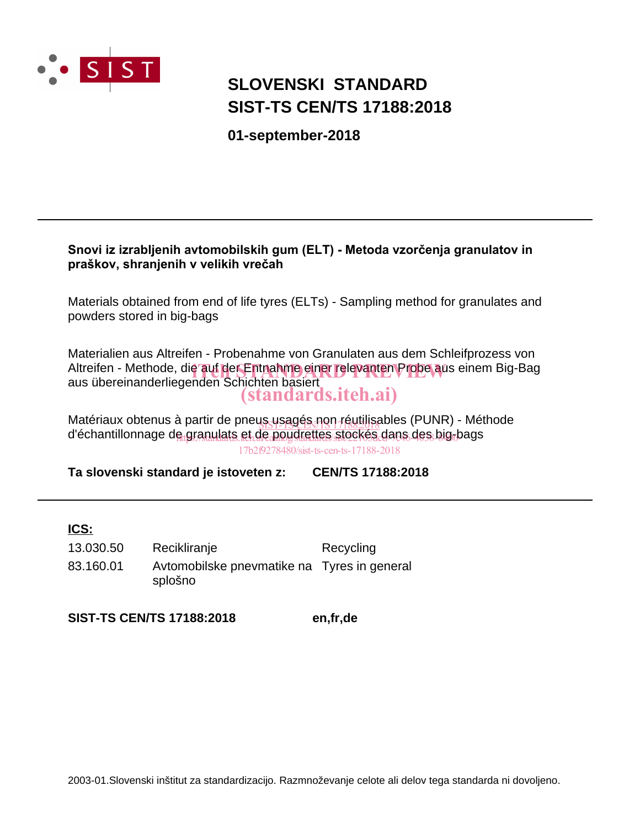

## **SIST-TS CEN/TS 17188:2018 SLOVENSKI STANDARD**

**01-september-2018**

### Snovi iz izrabljenih avtomobilskih gum (ELT) - Metoda vzorčenja granulatov in praškov, shranjenih v velikih vrečah

Materials obtained from end of life tyres (ELTs) - Sampling method for granulates and powders stored in big-bags

Materialien aus Altreifen - Probenahme von Granulaten aus dem Schleifprozess von Altreifen - Methode, die auf der Entnahme einer relevanten Probe aus einem Big-Bag<br>aus übereinanderliegenden Schichten basiert aus übereinanderliegenden Schichten basiert

## (standards.iteh.ai)

Matériaux obtenus à partir de pneus usagés non réutilisables (PUNR) - Méthode SIST-TS CEN/TS 17188:2018 d'échantillonnage de granulats et de poudrettes stockés dans des big-bags 17b2f9278480/sist-ts-cen-ts-17188-2018

**Ta slovenski standard je istoveten z: CEN/TS 17188:2018**

## **ICS:**

83.160.01 Avtomobilske pnevmatike na Tyres in general splošno 13.030.50 Recikliranje Recycling

**SIST-TS CEN/TS 17188:2018 en,fr,de**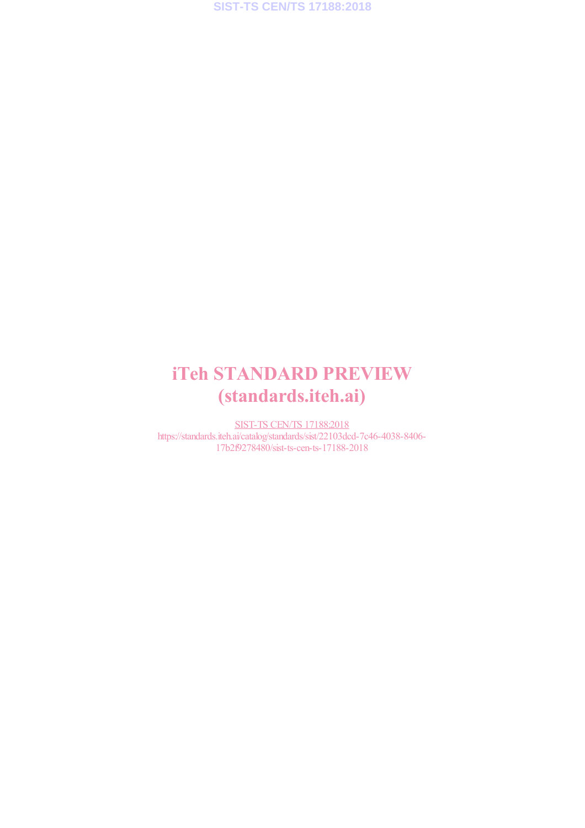## iTeh STANDARD PREVIEW (standards.iteh.ai)

SIST-TS CEN/TS 17188:2018 https://standards.iteh.ai/catalog/standards/sist/22103dcd-7c46-4038-8406- 17b2f9278480/sist-ts-cen-ts-17188-2018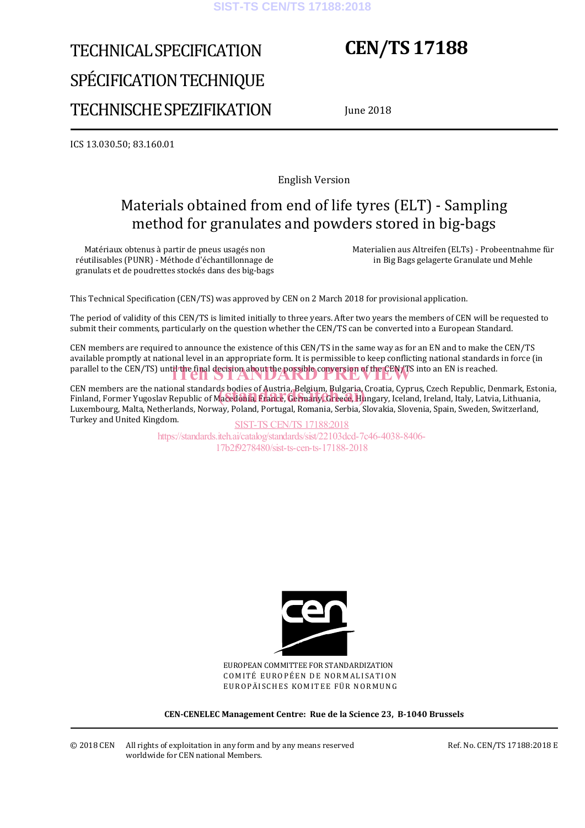#### **SIST-TS CEN/TS 17188:2018**

# TECHNICAL SPECIFICATION SPÉCIFICATION TECHNIQUE TECHNISCHE SPEZIFIKATION

## **CEN/TS 17188**

June 2018

ICS 13.030.50; 83.160.01

English Version

## Materials obtained from end of life tyres (ELT) - Sampling method for granulates and powders stored in big-bags

Matériaux obtenus à partir de pneus usagés non réutilisables (PUNR) - Méthode d'échantillonnage de granulats et de poudrettes stockés dans des big-bags  Materialien aus Altreifen (ELTs) - Probeentnahme für in Big Bags gelagerte Granulate und Mehle

This Technical Specification (CEN/TS) was approved by CEN on 2 March 2018 for provisional application.

The period of validity of this CEN/TS is limited initially to three years. After two years the members of CEN will be requested to submit their comments, particularly on the question whether the CEN/TS can be converted into a European Standard.

CEN members are required to announce the existence of this CEN/TS in the same way as for an EN and to make the CEN/TS available promptly at national level in an appropriate form. It is permissible to keep conflicting national standards in force (in parallel to the CEN/TS) until the final decision about the possible conversion of the CEN/TS into an EN is reached.

CEN members are the national standards bodies of Austria, Belgium, Bulgaria, Croatia, Cyprus, Czech Republic, Denmark, Estonia, CEN members are the national standards bodies of Austria, Belgium, Bulgaria, Croatia, Cyprus, Czech Republic, Denmark, Esto<br>Finland, Former Yugoslav Republic of Ma**cedonia, France, Germany, Greece,** Hungary, Iceland, Irela Luxembourg, Malta, Netherlands, Norway, Poland, Portugal, Romania, Serbia, Slovakia, Slovenia, Spain, Sweden, Switzerland, Turkey and United Kingdom.

SIST-TS CEN/TS 17188:2018 https://standards.iteh.ai/catalog/standards/sist/22103dcd-7c46-4038-8406- 17b2f9278480/sist-ts-cen-ts-17188-2018



EUROPEAN COMMITTEE FOR STANDARDIZATION COMITÉ EUROPÉEN DE NORMALISATION EUROPÄISCHES KOMITEE FÜR NORMUNG

**CEN-CENELEC Management Centre: Rue de la Science 23, B-1040 Brussels** 

Ref. No. CEN/TS 17188:2018 E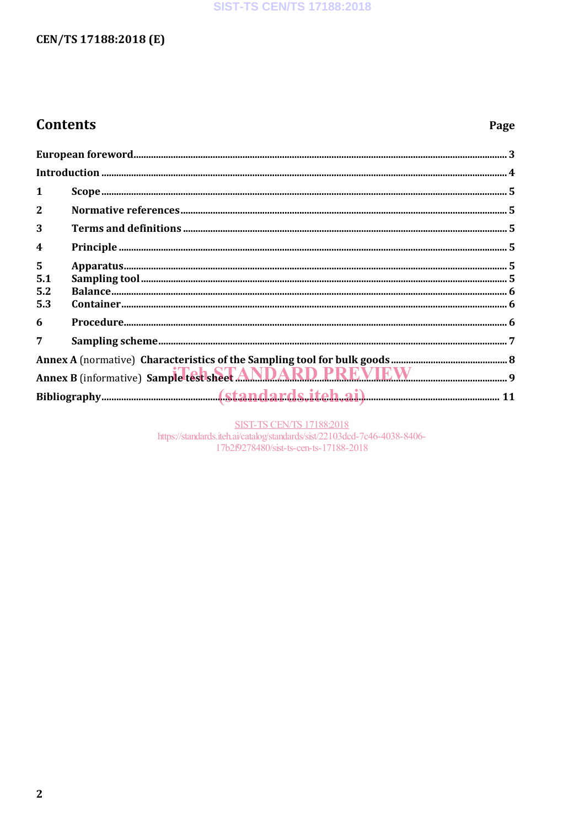#### **SIST-TS CEN/TS 17188:2018**

## CEN/TS 17188:2018 (E)

## **Contents**

## Page

| 1                      |                                                        |  |
|------------------------|--------------------------------------------------------|--|
| $\overline{2}$         |                                                        |  |
| 3                      |                                                        |  |
| $\boldsymbol{4}$       |                                                        |  |
| 5<br>5.1<br>5.2<br>5.3 |                                                        |  |
| 6                      |                                                        |  |
| $\overline{7}$         |                                                        |  |
|                        | Annex B (informative) Sample test sheet ANDARD PREVIEW |  |
|                        |                                                        |  |

SIST-TS CEN/TS 17188:2018<br>https://standards.iteh.ai/catalog/standards/sist/22103dcd-7c46-4038-8406-17b2f9278480/sist-ts-cen-ts-17188-2018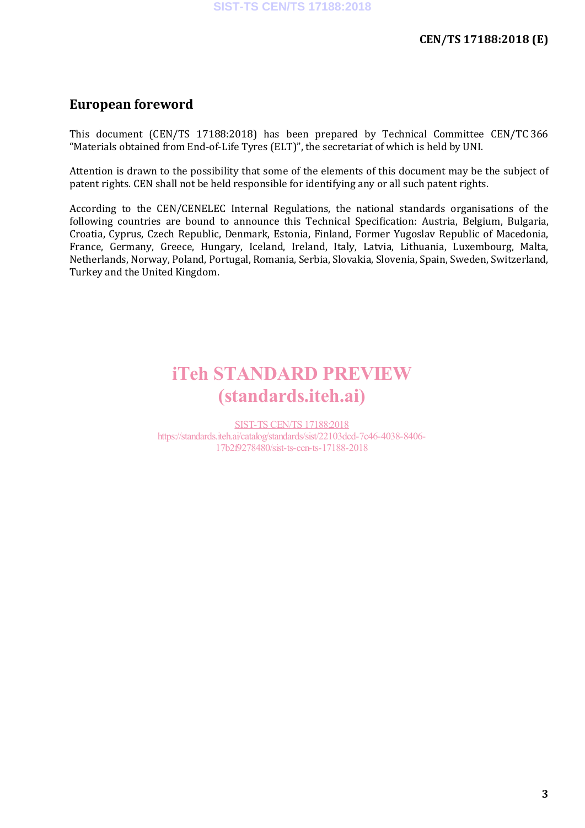## **European foreword**

This document (CEN/TS 17188:2018) has been prepared by Technical Committee CEN/TC 366 "Materials obtained from End-of-Life Tyres (ELT)", the secretariat of which is held by UNI.

Attention is drawn to the possibility that some of the elements of this document may be the subject of patent rights. CEN shall not be held responsible for identifying any or all such patent rights.

According to the CEN/CENELEC Internal Regulations, the national standards organisations of the following countries are bound to announce this Technical Specification: Austria, Belgium, Bulgaria, Croatia, Cyprus, Czech Republic, Denmark, Estonia, Finland, Former Yugoslav Republic of Macedonia, France, Germany, Greece, Hungary, Iceland, Ireland, Italy, Latvia, Lithuania, Luxembourg, Malta, Netherlands, Norway, Poland, Portugal, Romania, Serbia, Slovakia, Slovenia, Spain, Sweden, Switzerland, Turkey and the United Kingdom.

## iTeh STANDARD PREVIEW (standards.iteh.ai)

SIST-TS CEN/TS 17188:2018 https://standards.iteh.ai/catalog/standards/sist/22103dcd-7c46-4038-8406- 17b2f9278480/sist-ts-cen-ts-17188-2018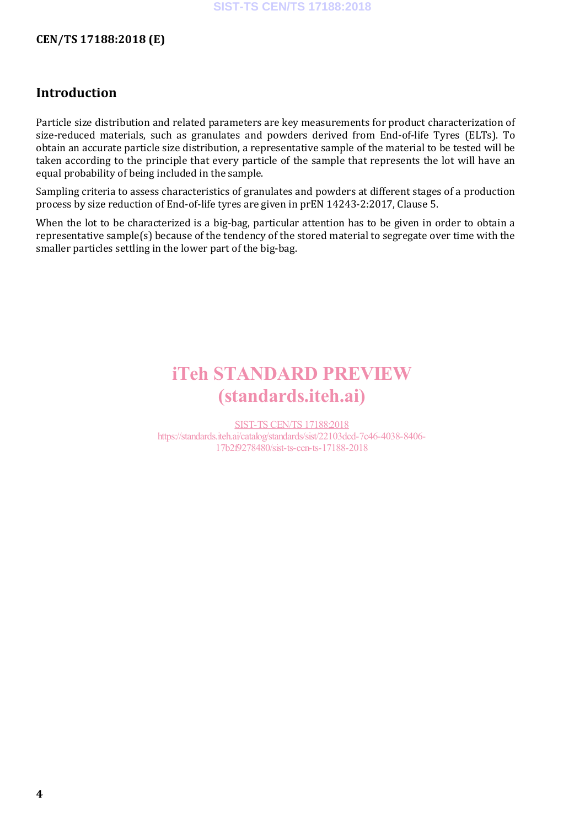#### **CEN/TS 17188:2018 (E)**

## **Introduction**

Particle size distribution and related parameters are key measurements for product characterization of size-reduced materials, such as granulates and powders derived from End-of-life Tyres (ELTs). To obtain an accurate particle size distribution, a representative sample of the material to be tested will be taken according to the principle that every particle of the sample that represents the lot will have an equal probability of being included in the sample.

Sampling criteria to assess characteristics of granulates and powders at different stages of a production process by size reduction of End-of-life tyres are given in prEN 14243-2:2017, Clause 5.

When the lot to be characterized is a big-bag, particular attention has to be given in order to obtain a representative sample(s) because of the tendency of the stored material to segregate over time with the smaller particles settling in the lower part of the big-bag.

## iTeh STANDARD PREVIEW (standards.iteh.ai)

SIST-TS CEN/TS 17188:2018 https://standards.iteh.ai/catalog/standards/sist/22103dcd-7c46-4038-8406- 17b2f9278480/sist-ts-cen-ts-17188-2018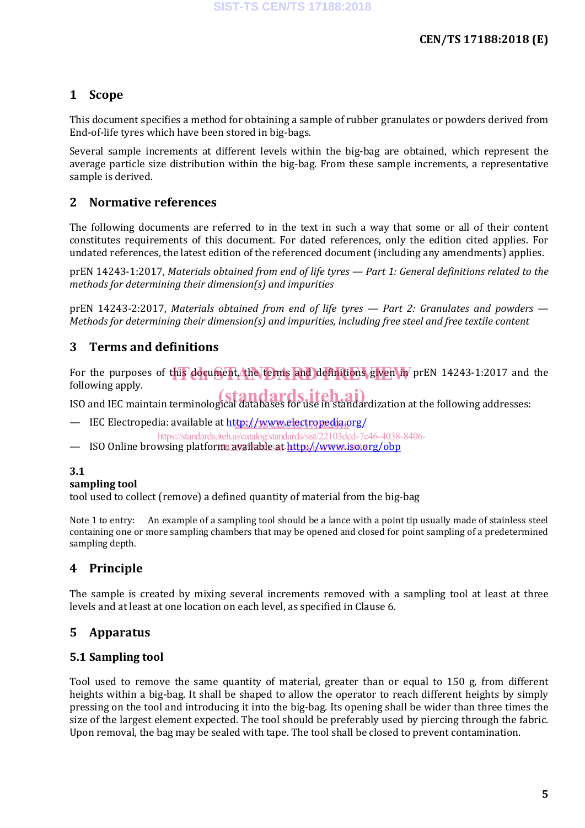## **1 Scope**

This document specifies a method for obtaining a sample of rubber granulates or powders derived from End-of-life tyres which have been stored in big-bags.

Several sample increments at different levels within the big-bag are obtained, which represent the average particle size distribution within the big-bag. From these sample increments, a representative sample is derived.

## **2 Normative references**

The following documents are referred to in the text in such a way that some or all of their content constitutes requirements of this document. For dated references, only the edition cited applies. For undated references, the latest edition of the referenced document (including any amendments) applies.

prEN 14243-1:2017, *Materials obtained from end of life tyres — Part 1: General definitions related to the methods for determining their dimension(s) and impurities*

prEN 14243-2:2017, *Materials obtained from end of life tyres — Part 2: Granulates and powders — Methods for determining their dimension(s) and impurities, including free steel and free textile content*

## **3 Terms and definitions**

For the purposes of this document, the terms and definitions given in prEN 14243-1:2017 and the following apply.

ISO and IEC maintain terminological databases for use in standardization at the following addresses:

— IEC Electropedia: available at <u>http://www.electropedia.org/</u>

https://standards.iteh.ai/catalog/standards/sist/22103dcd-7c46-4038-8406-

— ISO Online browsing platform: available at <u>http:///www.iso.org/obp</u>

#### **3.1**

#### **sampling tool**

tool used to collect (remove) a defined quantity of material from the big-bag

Note 1 to entry: An example of a sampling tool should be a lance with a point tip usually made of stainless steel containing one or more sampling chambers that may be opened and closed for point sampling of a predetermined sampling depth.

## **4 Principle**

The sample is created by mixing several increments removed with a sampling tool at least at three levels and at least at one location on each level, as specified in Clause 6.

## **5 Apparatus**

#### **5.1 Sampling tool**

Tool used to remove the same quantity of material, greater than or equal to 150 g, from different heights within a big-bag. It shall be shaped to allow the operator to reach different heights by simply pressing on the tool and introducing it into the big-bag. Its opening shall be wider than three times the size of the largest element expected. The tool should be preferably used by piercing through the fabric. Upon removal, the bag may be sealed with tape. The tool shall be closed to prevent contamination.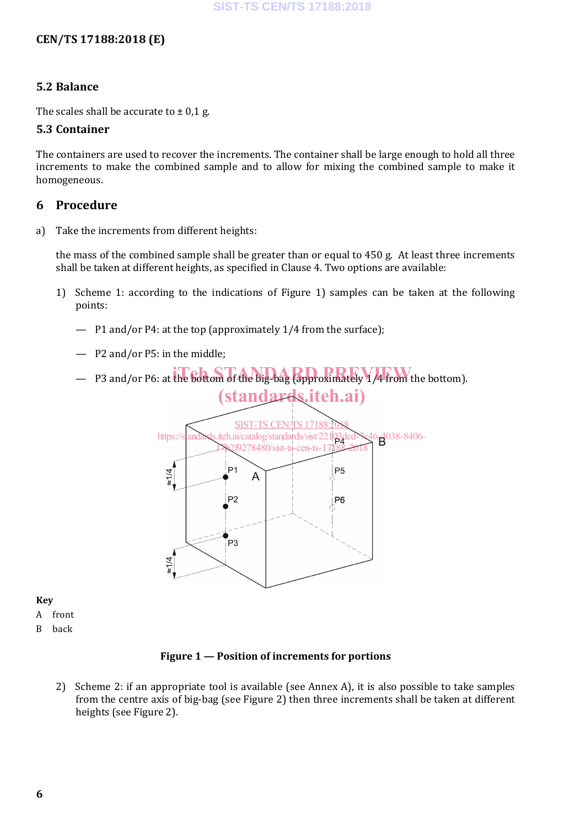### **CEN/TS 17188:2018 (E)**

#### **5.2 Balance**

The scales shall be accurate to  $\pm$  0,1 g.

#### **5.3 Container**

The containers are used to recover the increments. The container shall be large enough to hold all three increments to make the combined sample and to allow for mixing the combined sample to make it homogeneous.

#### **6 Procedure**

a) Take the increments from different heights:

the mass of the combined sample shall be greater than or equal to 450 g. At least three increments shall be taken at different heights, as specified in Clause 4. Two options are available:

- 1) Scheme 1: according to the indications of Figure 1) samples can be taken at the following points:
	- P1 and/or P4: at the top (approximately 1/4 from the surface);
	- P2 and/or P5: in the middle;
	- P3 and/or P6: at the bottom of the big-bag (approximately 1/4 from the bottom).



**Key**

A front

B back

#### **Figure 1 — Position of increments for portions**

2) Scheme 2: if an appropriate tool is available (see Annex A), it is also possible to take samples from the centre axis of big-bag (see Figure 2) then three increments shall be taken at different heights (see Figure 2).